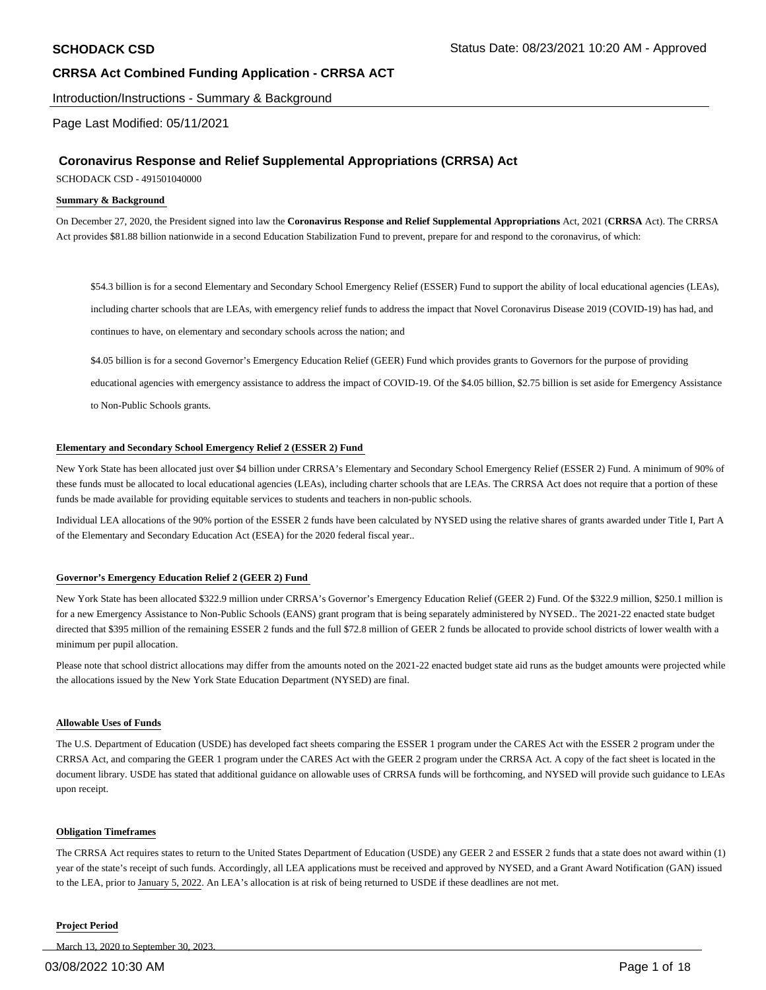Introduction/Instructions - Summary & Background

### Page Last Modified: 05/11/2021

## **Coronavirus Response and Relief Supplemental Appropriations (CRRSA) Act**

SCHODACK CSD - 491501040000

#### **Summary & Background**

On December 27, 2020, the President signed into law the **Coronavirus Response and Relief Supplemental Appropriations** Act, 2021 (**CRRSA** Act). The CRRSA Act provides \$81.88 billion nationwide in a second Education Stabilization Fund to prevent, prepare for and respond to the coronavirus, of which:

\$54.3 billion is for a second Elementary and Secondary School Emergency Relief (ESSER) Fund to support the ability of local educational agencies (LEAs), including charter schools that are LEAs, with emergency relief funds to address the impact that Novel Coronavirus Disease 2019 (COVID-19) has had, and continues to have, on elementary and secondary schools across the nation; and

\$4.05 billion is for a second Governor's Emergency Education Relief (GEER) Fund which provides grants to Governors for the purpose of providing

educational agencies with emergency assistance to address the impact of COVID-19. Of the \$4.05 billion, \$2.75 billion is set aside for Emergency Assistance to Non-Public Schools grants.

#### **Elementary and Secondary School Emergency Relief 2 (ESSER 2) Fund**

New York State has been allocated just over \$4 billion under CRRSA's Elementary and Secondary School Emergency Relief (ESSER 2) Fund. A minimum of 90% of these funds must be allocated to local educational agencies (LEAs), including charter schools that are LEAs. The CRRSA Act does not require that a portion of these funds be made available for providing equitable services to students and teachers in non-public schools.

Individual LEA allocations of the 90% portion of the ESSER 2 funds have been calculated by NYSED using the relative shares of grants awarded under Title I, Part A of the Elementary and Secondary Education Act (ESEA) for the 2020 federal fiscal year..

#### **Governor's Emergency Education Relief 2 (GEER 2) Fund**

New York State has been allocated \$322.9 million under CRRSA's Governor's Emergency Education Relief (GEER 2) Fund. Of the \$322.9 million, \$250.1 million is for a new Emergency Assistance to Non-Public Schools (EANS) grant program that is being separately administered by NYSED.. The 2021-22 enacted state budget directed that \$395 million of the remaining ESSER 2 funds and the full \$72.8 million of GEER 2 funds be allocated to provide school districts of lower wealth with a minimum per pupil allocation.

Please note that school district allocations may differ from the amounts noted on the 2021-22 enacted budget state aid runs as the budget amounts were projected while the allocations issued by the New York State Education Department (NYSED) are final.

#### **Allowable Uses of Funds**

The U.S. Department of Education (USDE) has developed fact sheets comparing the ESSER 1 program under the CARES Act with the ESSER 2 program under the CRRSA Act, and comparing the GEER 1 program under the CARES Act with the GEER 2 program under the CRRSA Act. A copy of the fact sheet is located in the document library. USDE has stated that additional guidance on allowable uses of CRRSA funds will be forthcoming, and NYSED will provide such guidance to LEAs upon receipt.

#### **Obligation Timeframes**

The CRRSA Act requires states to return to the United States Department of Education (USDE) any GEER 2 and ESSER 2 funds that a state does not award within (1) year of the state's receipt of such funds. Accordingly, all LEA applications must be received and approved by NYSED, and a Grant Award Notification (GAN) issued to the LEA, prior to January 5, 2022. An LEA's allocation is at risk of being returned to USDE if these deadlines are not met.

#### **Project Period**

March 13, 2020 to September 30, 2023.

#### 03/08/2022 10:30 AM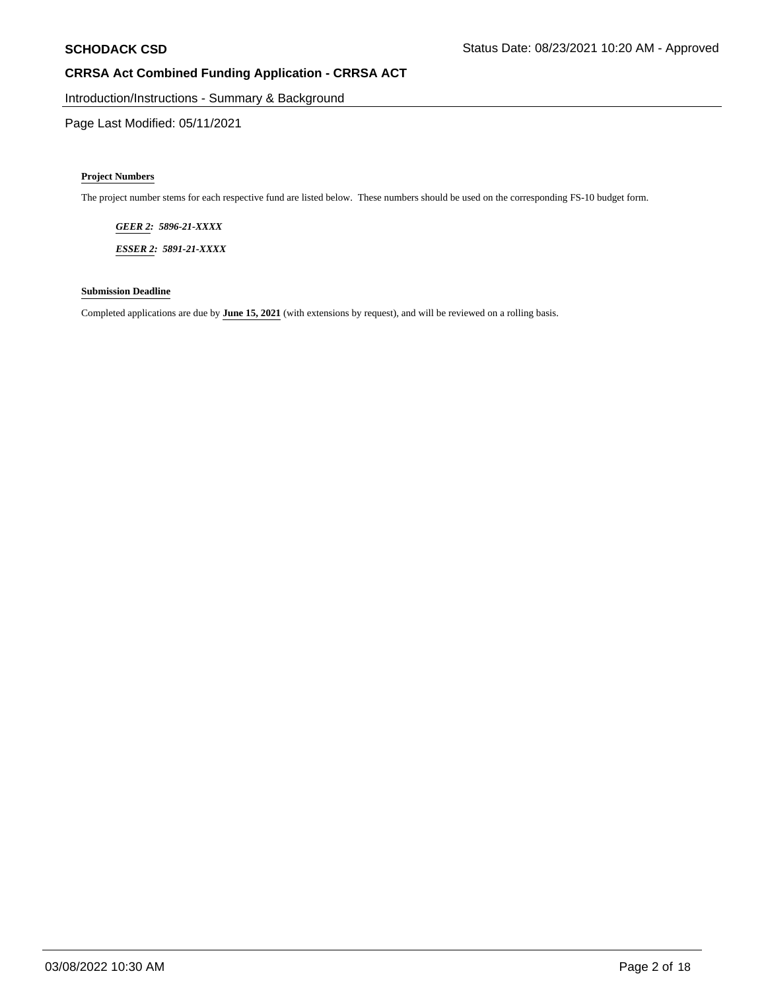Introduction/Instructions - Summary & Background

Page Last Modified: 05/11/2021

#### **Project Numbers**

The project number stems for each respective fund are listed below. These numbers should be used on the corresponding FS-10 budget form.

*GEER 2: 5896-21-XXXX* 

*ESSER 2: 5891-21-XXXX* 

### **Submission Deadline**

Completed applications are due by **June 15, 2021** (with extensions by request), and will be reviewed on a rolling basis.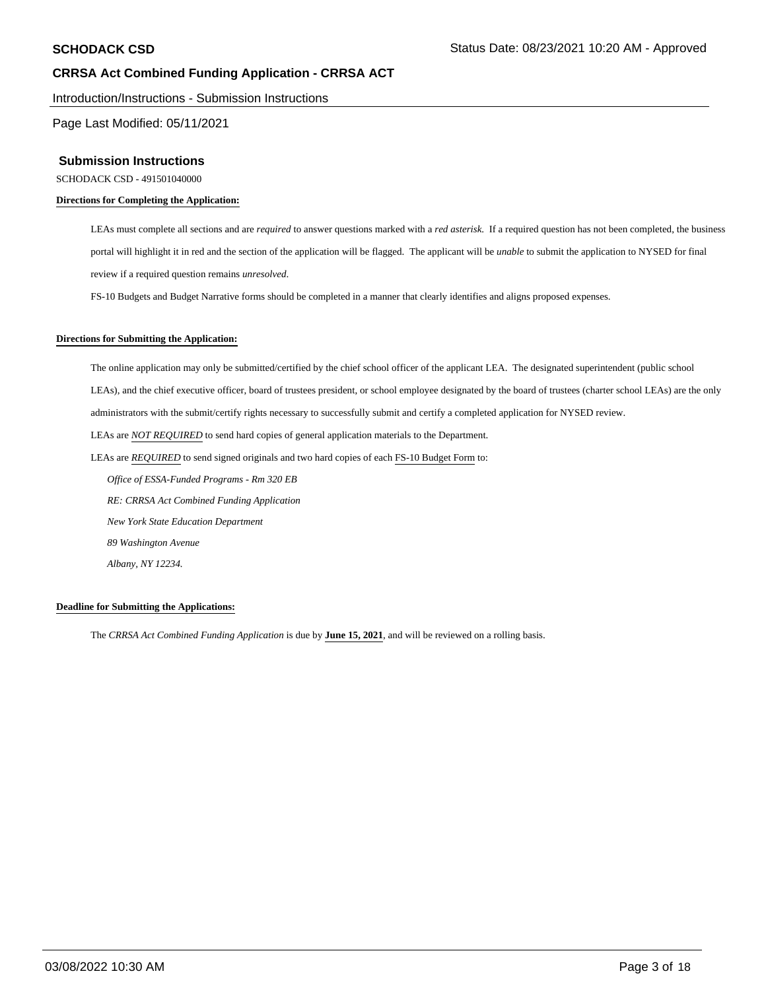Introduction/Instructions - Submission Instructions

Page Last Modified: 05/11/2021

### **Submission Instructions**

SCHODACK CSD - 491501040000

#### **Directions for Completing the Application:**

LEAs must complete all sections and are *required* to answer questions marked with a *red asterisk*. If a required question has not been completed, the business portal will highlight it in red and the section of the application will be flagged. The applicant will be *unable* to submit the application to NYSED for final review if a required question remains *unresolved*.

FS-10 Budgets and Budget Narrative forms should be completed in a manner that clearly identifies and aligns proposed expenses.

#### **Directions for Submitting the Application:**

The online application may only be submitted/certified by the chief school officer of the applicant LEA. The designated superintendent (public school LEAs), and the chief executive officer, board of trustees president, or school employee designated by the board of trustees (charter school LEAs) are the only administrators with the submit/certify rights necessary to successfully submit and certify a completed application for NYSED review. LEAs are *NOT REQUIRED* to send hard copies of general application materials to the Department. LEAs are *REQUIRED* to send signed originals and two hard copies of each FS-10 Budget Form to:  *Office of ESSA-Funded Programs - Rm 320 EB RE: CRRSA Act Combined Funding Application New York State Education Department 89 Washington Avenue*

 *Albany, NY 12234.* 

#### **Deadline for Submitting the Applications:**

The *CRRSA Act Combined Funding Application* is due by **June 15, 2021**, and will be reviewed on a rolling basis.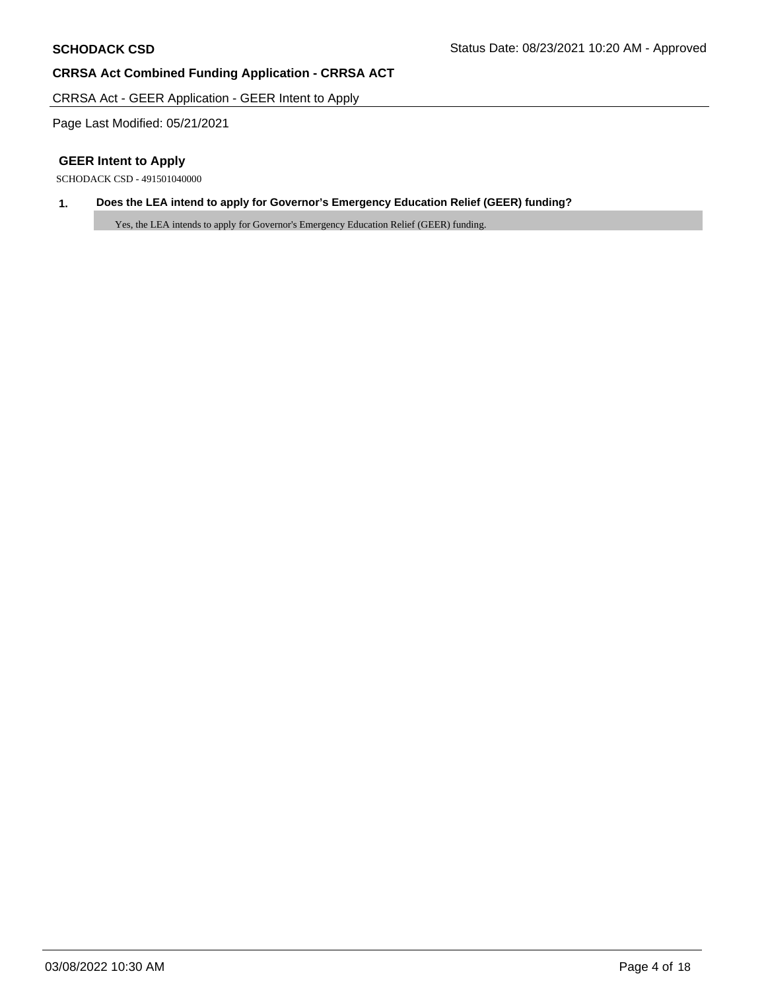CRRSA Act - GEER Application - GEER Intent to Apply

Page Last Modified: 05/21/2021

# **GEER Intent to Apply**

SCHODACK CSD - 491501040000

# **1. Does the LEA intend to apply for Governor's Emergency Education Relief (GEER) funding?**

Yes, the LEA intends to apply for Governor's Emergency Education Relief (GEER) funding.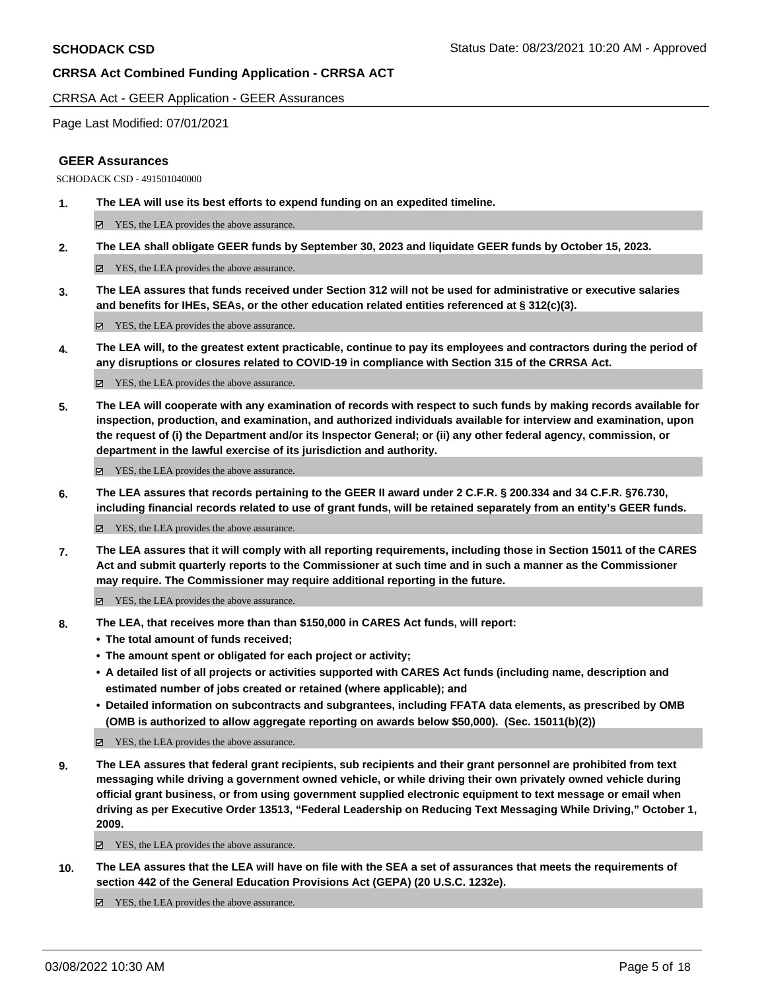CRRSA Act - GEER Application - GEER Assurances

Page Last Modified: 07/01/2021

## **GEER Assurances**

SCHODACK CSD - 491501040000

**1. The LEA will use its best efforts to expend funding on an expedited timeline.** 

YES, the LEA provides the above assurance.

**2. The LEA shall obligate GEER funds by September 30, 2023 and liquidate GEER funds by October 15, 2023.** 

YES, the LEA provides the above assurance.

**3. The LEA assures that funds received under Section 312 will not be used for administrative or executive salaries and benefits for IHEs, SEAs, or the other education related entities referenced at § 312(c)(3).** 

■ YES, the LEA provides the above assurance.

**4. The LEA will, to the greatest extent practicable, continue to pay its employees and contractors during the period of any disruptions or closures related to COVID-19 in compliance with Section 315 of the CRRSA Act.** 

 $\Xi$  YES, the LEA provides the above assurance.

**5. The LEA will cooperate with any examination of records with respect to such funds by making records available for inspection, production, and examination, and authorized individuals available for interview and examination, upon the request of (i) the Department and/or its Inspector General; or (ii) any other federal agency, commission, or department in the lawful exercise of its jurisdiction and authority.** 

YES, the LEA provides the above assurance.

**6. The LEA assures that records pertaining to the GEER II award under 2 C.F.R. § 200.334 and 34 C.F.R. §76.730, including financial records related to use of grant funds, will be retained separately from an entity's GEER funds.** 

 $\boxtimes$  YES, the LEA provides the above assurance.

**7. The LEA assures that it will comply with all reporting requirements, including those in Section 15011 of the CARES Act and submit quarterly reports to the Commissioner at such time and in such a manner as the Commissioner may require. The Commissioner may require additional reporting in the future.** 

YES, the LEA provides the above assurance.

- **8. The LEA, that receives more than than \$150,000 in CARES Act funds, will report:** 
	- **The total amount of funds received;**
	- **The amount spent or obligated for each project or activity;**
	- **A detailed list of all projects or activities supported with CARES Act funds (including name, description and estimated number of jobs created or retained (where applicable); and**
	- **Detailed information on subcontracts and subgrantees, including FFATA data elements, as prescribed by OMB (OMB is authorized to allow aggregate reporting on awards below \$50,000). (Sec. 15011(b)(2))**

YES, the LEA provides the above assurance.

**9. The LEA assures that federal grant recipients, sub recipients and their grant personnel are prohibited from text messaging while driving a government owned vehicle, or while driving their own privately owned vehicle during official grant business, or from using government supplied electronic equipment to text message or email when driving as per Executive Order 13513, "Federal Leadership on Reducing Text Messaging While Driving," October 1, 2009.** 

■ YES, the LEA provides the above assurance.

**10. The LEA assures that the LEA will have on file with the SEA a set of assurances that meets the requirements of section 442 of the General Education Provisions Act (GEPA) (20 U.S.C. 1232e).** 

 $\Box$  YES, the LEA provides the above assurance.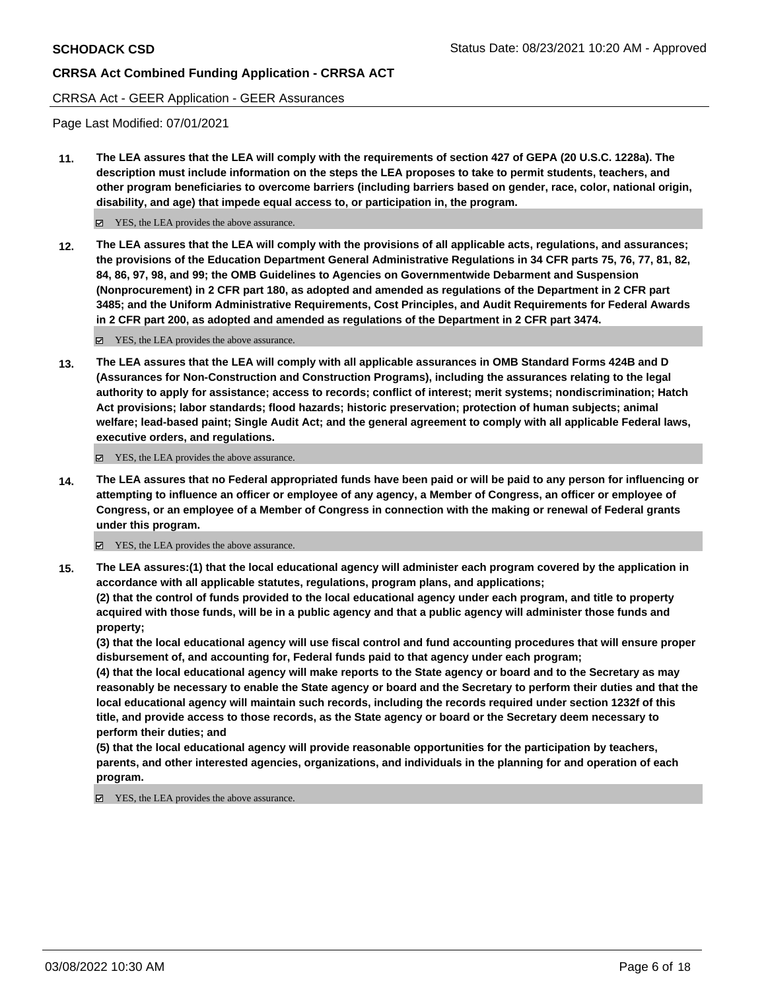### CRRSA Act - GEER Application - GEER Assurances

Page Last Modified: 07/01/2021

**11. The LEA assures that the LEA will comply with the requirements of section 427 of GEPA (20 U.S.C. 1228a). The description must include information on the steps the LEA proposes to take to permit students, teachers, and other program beneficiaries to overcome barriers (including barriers based on gender, race, color, national origin, disability, and age) that impede equal access to, or participation in, the program.** 

■ YES, the LEA provides the above assurance.

**12. The LEA assures that the LEA will comply with the provisions of all applicable acts, regulations, and assurances; the provisions of the Education Department General Administrative Regulations in 34 CFR parts 75, 76, 77, 81, 82, 84, 86, 97, 98, and 99; the OMB Guidelines to Agencies on Governmentwide Debarment and Suspension (Nonprocurement) in 2 CFR part 180, as adopted and amended as regulations of the Department in 2 CFR part 3485; and the Uniform Administrative Requirements, Cost Principles, and Audit Requirements for Federal Awards in 2 CFR part 200, as adopted and amended as regulations of the Department in 2 CFR part 3474.** 

YES, the LEA provides the above assurance.

**13. The LEA assures that the LEA will comply with all applicable assurances in OMB Standard Forms 424B and D (Assurances for Non-Construction and Construction Programs), including the assurances relating to the legal authority to apply for assistance; access to records; conflict of interest; merit systems; nondiscrimination; Hatch Act provisions; labor standards; flood hazards; historic preservation; protection of human subjects; animal welfare; lead-based paint; Single Audit Act; and the general agreement to comply with all applicable Federal laws, executive orders, and regulations.** 

YES, the LEA provides the above assurance.

**14. The LEA assures that no Federal appropriated funds have been paid or will be paid to any person for influencing or attempting to influence an officer or employee of any agency, a Member of Congress, an officer or employee of Congress, or an employee of a Member of Congress in connection with the making or renewal of Federal grants under this program.** 

■ YES, the LEA provides the above assurance.

**15. The LEA assures:(1) that the local educational agency will administer each program covered by the application in accordance with all applicable statutes, regulations, program plans, and applications; (2) that the control of funds provided to the local educational agency under each program, and title to property acquired with those funds, will be in a public agency and that a public agency will administer those funds and property;** 

**(3) that the local educational agency will use fiscal control and fund accounting procedures that will ensure proper disbursement of, and accounting for, Federal funds paid to that agency under each program;** 

**(4) that the local educational agency will make reports to the State agency or board and to the Secretary as may reasonably be necessary to enable the State agency or board and the Secretary to perform their duties and that the local educational agency will maintain such records, including the records required under section 1232f of this title, and provide access to those records, as the State agency or board or the Secretary deem necessary to perform their duties; and** 

**(5) that the local educational agency will provide reasonable opportunities for the participation by teachers, parents, and other interested agencies, organizations, and individuals in the planning for and operation of each program.** 

■ YES, the LEA provides the above assurance.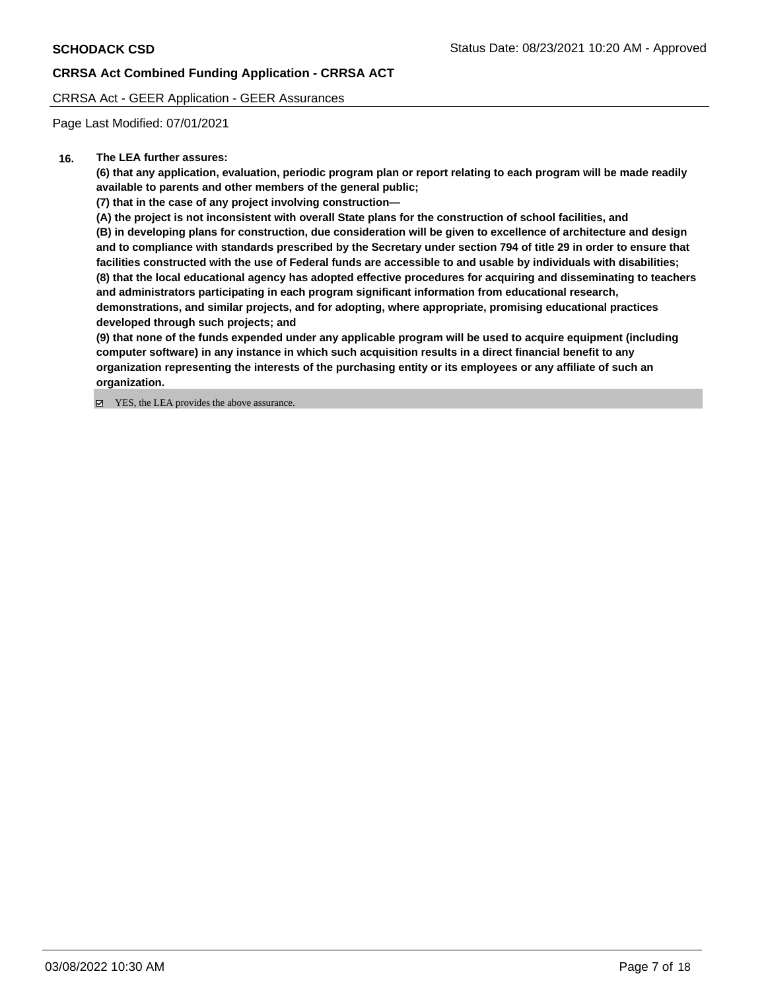CRRSA Act - GEER Application - GEER Assurances

Page Last Modified: 07/01/2021

## **16. The LEA further assures:**

**(6) that any application, evaluation, periodic program plan or report relating to each program will be made readily available to parents and other members of the general public;** 

**(7) that in the case of any project involving construction—** 

**(A) the project is not inconsistent with overall State plans for the construction of school facilities, and** 

**(B) in developing plans for construction, due consideration will be given to excellence of architecture and design and to compliance with standards prescribed by the Secretary under section 794 of title 29 in order to ensure that facilities constructed with the use of Federal funds are accessible to and usable by individuals with disabilities; (8) that the local educational agency has adopted effective procedures for acquiring and disseminating to teachers and administrators participating in each program significant information from educational research, demonstrations, and similar projects, and for adopting, where appropriate, promising educational practices developed through such projects; and** 

**(9) that none of the funds expended under any applicable program will be used to acquire equipment (including computer software) in any instance in which such acquisition results in a direct financial benefit to any organization representing the interests of the purchasing entity or its employees or any affiliate of such an organization.** 

■ YES, the LEA provides the above assurance.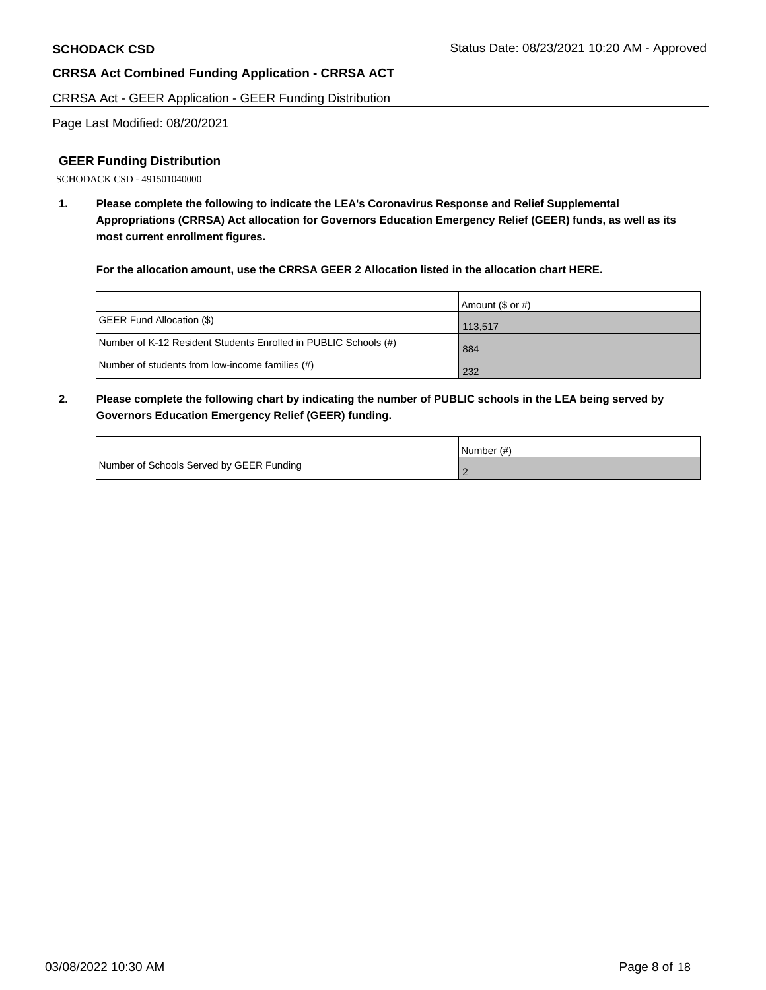CRRSA Act - GEER Application - GEER Funding Distribution

Page Last Modified: 08/20/2021

## **GEER Funding Distribution**

SCHODACK CSD - 491501040000

**1. Please complete the following to indicate the LEA's Coronavirus Response and Relief Supplemental Appropriations (CRRSA) Act allocation for Governors Education Emergency Relief (GEER) funds, as well as its most current enrollment figures.** 

**For the allocation amount, use the CRRSA GEER 2 Allocation listed in the allocation chart HERE.** 

|                                                                 | Amount (\$ or #) |
|-----------------------------------------------------------------|------------------|
| <b>GEER Fund Allocation (\$)</b>                                | 113.517          |
| Number of K-12 Resident Students Enrolled in PUBLIC Schools (#) | 884              |
| Number of students from low-income families (#)                 | 232              |

**2. Please complete the following chart by indicating the number of PUBLIC schools in the LEA being served by Governors Education Emergency Relief (GEER) funding.** 

|                                          | $l$ Number $(\#)$ |
|------------------------------------------|-------------------|
| Number of Schools Served by GEER Funding |                   |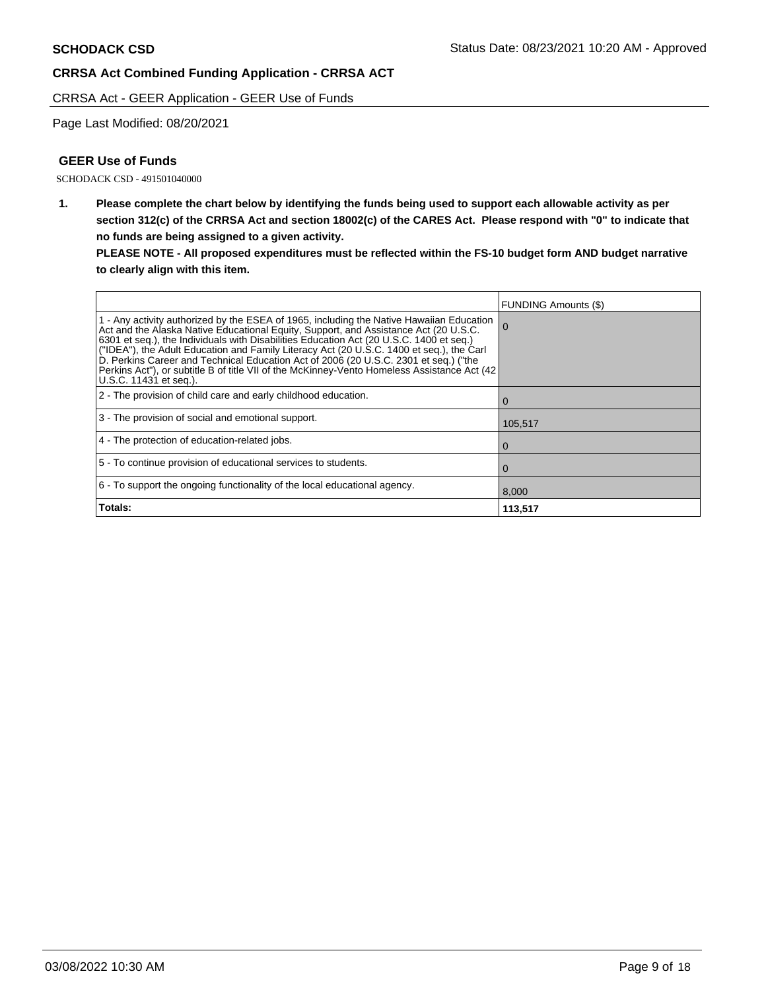CRRSA Act - GEER Application - GEER Use of Funds

Page Last Modified: 08/20/2021

# **GEER Use of Funds**

SCHODACK CSD - 491501040000

**1. Please complete the chart below by identifying the funds being used to support each allowable activity as per section 312(c) of the CRRSA Act and section 18002(c) of the CARES Act. Please respond with "0" to indicate that no funds are being assigned to a given activity.** 

**PLEASE NOTE - All proposed expenditures must be reflected within the FS-10 budget form AND budget narrative to clearly align with this item.** 

|                                                                                                                                                                                                                                                                                                                                                                                                                                                                                                                                                                                          | <b>FUNDING Amounts (\$)</b> |
|------------------------------------------------------------------------------------------------------------------------------------------------------------------------------------------------------------------------------------------------------------------------------------------------------------------------------------------------------------------------------------------------------------------------------------------------------------------------------------------------------------------------------------------------------------------------------------------|-----------------------------|
| 1 - Any activity authorized by the ESEA of 1965, including the Native Hawaiian Education<br>Act and the Alaska Native Educational Equity, Support, and Assistance Act (20 U.S.C.<br>6301 et seq.), the Individuals with Disabilities Education Act (20 U.S.C. 1400 et seq.)<br>("IDEA"), the Adult Education and Family Literacy Act (20 U.S.C. 1400 et seq.), the Carl<br>D. Perkins Career and Technical Education Act of 2006 (20 U.S.C. 2301 et seq.) ("the<br>Perkins Act"), or subtitle B of title VII of the McKinney-Vento Homeless Assistance Act (42<br>U.S.C. 11431 et seq.). | -0                          |
| 2 - The provision of child care and early childhood education.                                                                                                                                                                                                                                                                                                                                                                                                                                                                                                                           | $\Omega$                    |
| 3 - The provision of social and emotional support.                                                                                                                                                                                                                                                                                                                                                                                                                                                                                                                                       | 105,517                     |
| 4 - The protection of education-related jobs.                                                                                                                                                                                                                                                                                                                                                                                                                                                                                                                                            | 0                           |
| 5 - To continue provision of educational services to students.                                                                                                                                                                                                                                                                                                                                                                                                                                                                                                                           | $\Omega$                    |
| 6 - To support the ongoing functionality of the local educational agency.                                                                                                                                                                                                                                                                                                                                                                                                                                                                                                                | 8,000                       |
| Totals:                                                                                                                                                                                                                                                                                                                                                                                                                                                                                                                                                                                  | 113,517                     |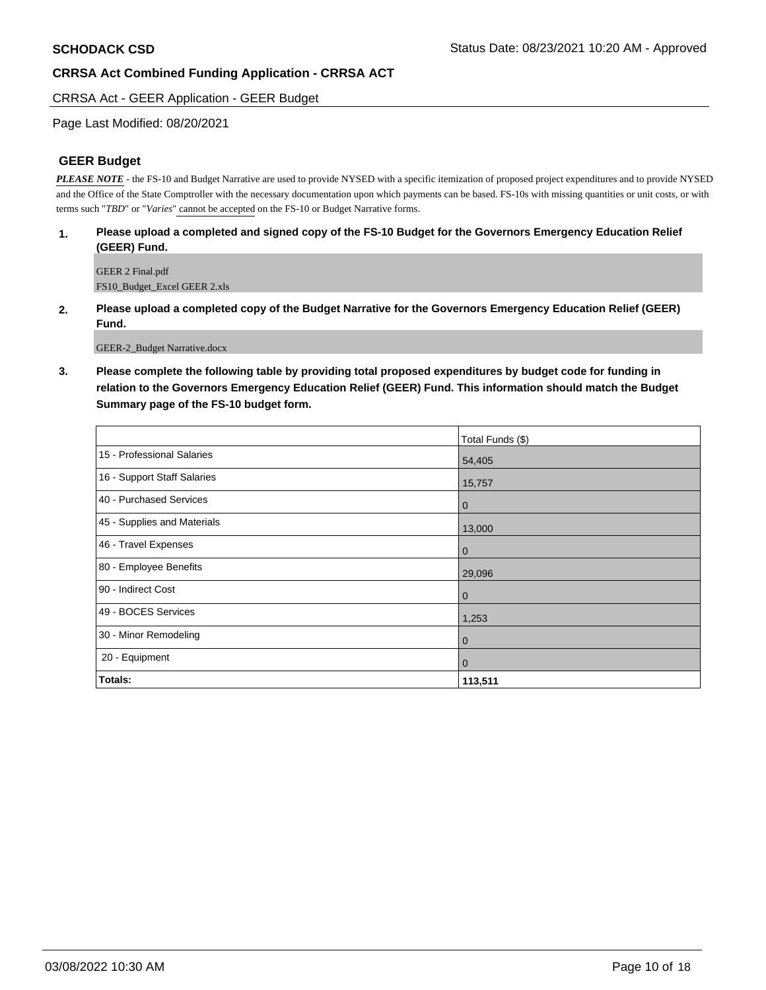## CRRSA Act - GEER Application - GEER Budget

## Page Last Modified: 08/20/2021

## **GEER Budget**

*PLEASE NOTE* - the FS-10 and Budget Narrative are used to provide NYSED with a specific itemization of proposed project expenditures and to provide NYSED and the Office of the State Comptroller with the necessary documentation upon which payments can be based. FS-10s with missing quantities or unit costs, or with terms such "*TBD*" or "*Varies*" cannot be accepted on the FS-10 or Budget Narrative forms.

### **1. Please upload a completed and signed copy of the FS-10 Budget for the Governors Emergency Education Relief (GEER) Fund.**

GEER 2 Final.pdf FS10\_Budget\_Excel GEER 2.xls

**2. Please upload a completed copy of the Budget Narrative for the Governors Emergency Education Relief (GEER) Fund.** 

GEER-2\_Budget Narrative.docx

**3. Please complete the following table by providing total proposed expenditures by budget code for funding in relation to the Governors Emergency Education Relief (GEER) Fund. This information should match the Budget Summary page of the FS-10 budget form.** 

|                             | Total Funds (\$) |
|-----------------------------|------------------|
| 15 - Professional Salaries  | 54,405           |
| 16 - Support Staff Salaries | 15,757           |
| 40 - Purchased Services     | $\mathbf 0$      |
| 45 - Supplies and Materials | 13,000           |
| 46 - Travel Expenses        | $\mathbf 0$      |
| 80 - Employee Benefits      | 29,096           |
| 90 - Indirect Cost          | $\mathbf 0$      |
| 49 - BOCES Services         | 1,253            |
| 30 - Minor Remodeling       | $\mathbf 0$      |
| 20 - Equipment              | $\mathbf{0}$     |
| Totals:                     | 113,511          |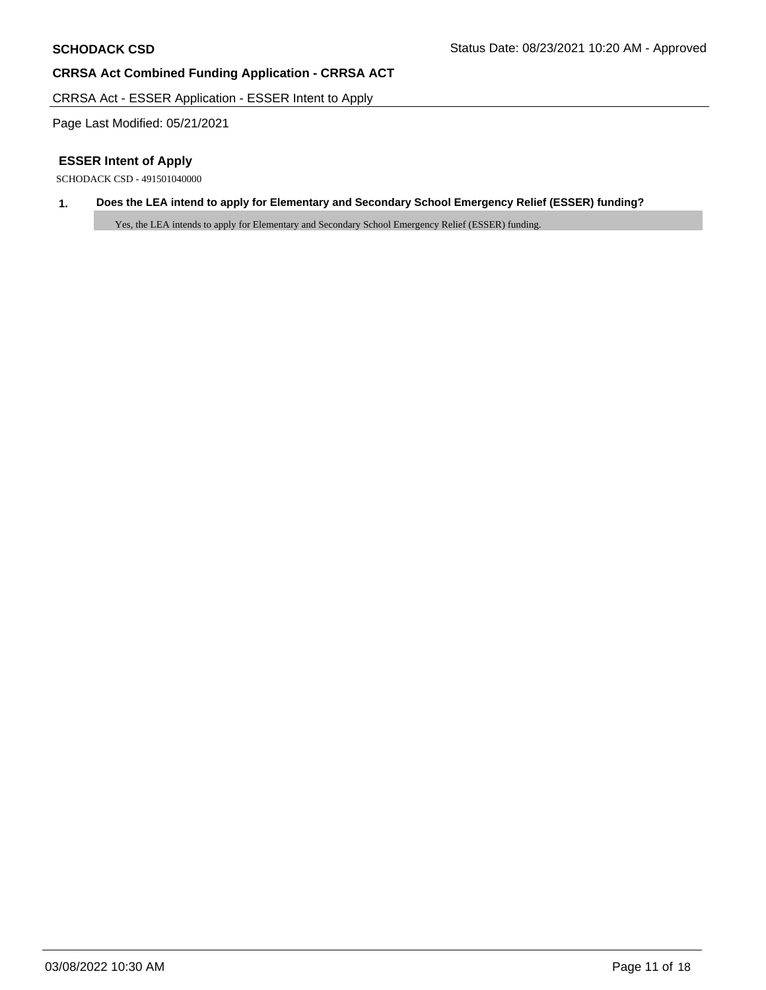CRRSA Act - ESSER Application - ESSER Intent to Apply

Page Last Modified: 05/21/2021

# **ESSER Intent of Apply**

SCHODACK CSD - 491501040000

## **1. Does the LEA intend to apply for Elementary and Secondary School Emergency Relief (ESSER) funding?**

Yes, the LEA intends to apply for Elementary and Secondary School Emergency Relief (ESSER) funding.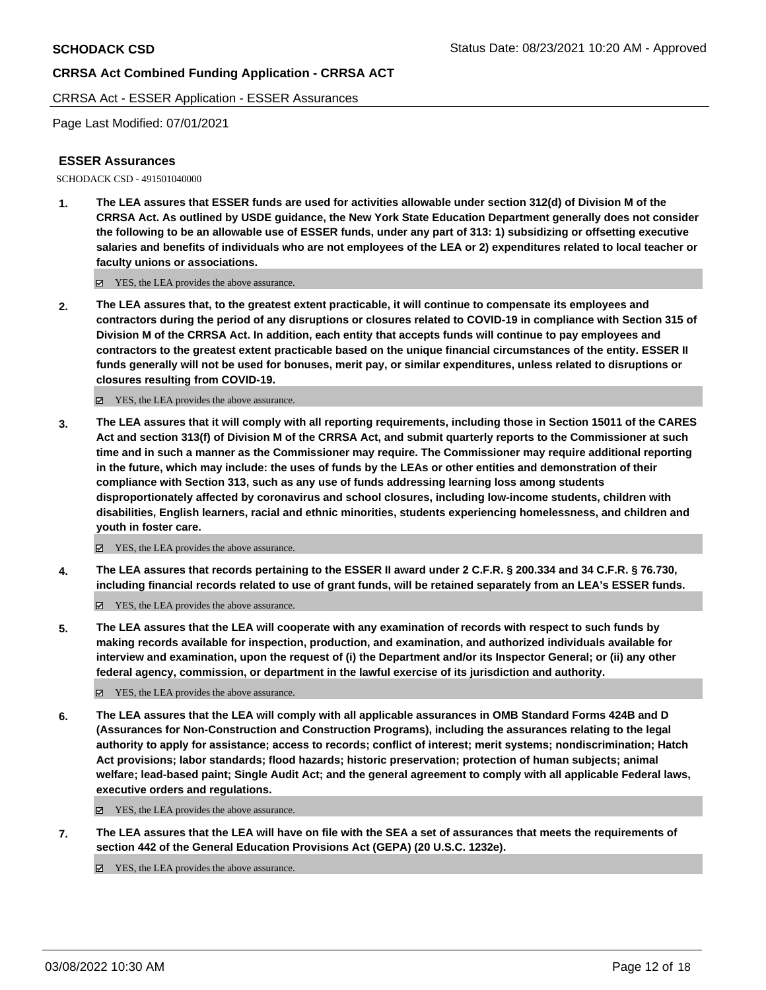CRRSA Act - ESSER Application - ESSER Assurances

Page Last Modified: 07/01/2021

## **ESSER Assurances**

SCHODACK CSD - 491501040000

**1. The LEA assures that ESSER funds are used for activities allowable under section 312(d) of Division M of the CRRSA Act. As outlined by USDE guidance, the New York State Education Department generally does not consider the following to be an allowable use of ESSER funds, under any part of 313: 1) subsidizing or offsetting executive salaries and benefits of individuals who are not employees of the LEA or 2) expenditures related to local teacher or faculty unions or associations.** 

YES, the LEA provides the above assurance.

**2. The LEA assures that, to the greatest extent practicable, it will continue to compensate its employees and contractors during the period of any disruptions or closures related to COVID-19 in compliance with Section 315 of Division M of the CRRSA Act. In addition, each entity that accepts funds will continue to pay employees and contractors to the greatest extent practicable based on the unique financial circumstances of the entity. ESSER II funds generally will not be used for bonuses, merit pay, or similar expenditures, unless related to disruptions or closures resulting from COVID-19.** 

YES, the LEA provides the above assurance.

**3. The LEA assures that it will comply with all reporting requirements, including those in Section 15011 of the CARES Act and section 313(f) of Division M of the CRRSA Act, and submit quarterly reports to the Commissioner at such time and in such a manner as the Commissioner may require. The Commissioner may require additional reporting in the future, which may include: the uses of funds by the LEAs or other entities and demonstration of their compliance with Section 313, such as any use of funds addressing learning loss among students disproportionately affected by coronavirus and school closures, including low-income students, children with disabilities, English learners, racial and ethnic minorities, students experiencing homelessness, and children and youth in foster care.** 

YES, the LEA provides the above assurance.

**4. The LEA assures that records pertaining to the ESSER II award under 2 C.F.R. § 200.334 and 34 C.F.R. § 76.730, including financial records related to use of grant funds, will be retained separately from an LEA's ESSER funds.** 

YES, the LEA provides the above assurance.

**5. The LEA assures that the LEA will cooperate with any examination of records with respect to such funds by making records available for inspection, production, and examination, and authorized individuals available for interview and examination, upon the request of (i) the Department and/or its Inspector General; or (ii) any other federal agency, commission, or department in the lawful exercise of its jurisdiction and authority.** 

■ YES, the LEA provides the above assurance.

**6. The LEA assures that the LEA will comply with all applicable assurances in OMB Standard Forms 424B and D (Assurances for Non-Construction and Construction Programs), including the assurances relating to the legal authority to apply for assistance; access to records; conflict of interest; merit systems; nondiscrimination; Hatch Act provisions; labor standards; flood hazards; historic preservation; protection of human subjects; animal welfare; lead-based paint; Single Audit Act; and the general agreement to comply with all applicable Federal laws, executive orders and regulations.** 

YES, the LEA provides the above assurance.

**7. The LEA assures that the LEA will have on file with the SEA a set of assurances that meets the requirements of section 442 of the General Education Provisions Act (GEPA) (20 U.S.C. 1232e).** 

YES, the LEA provides the above assurance.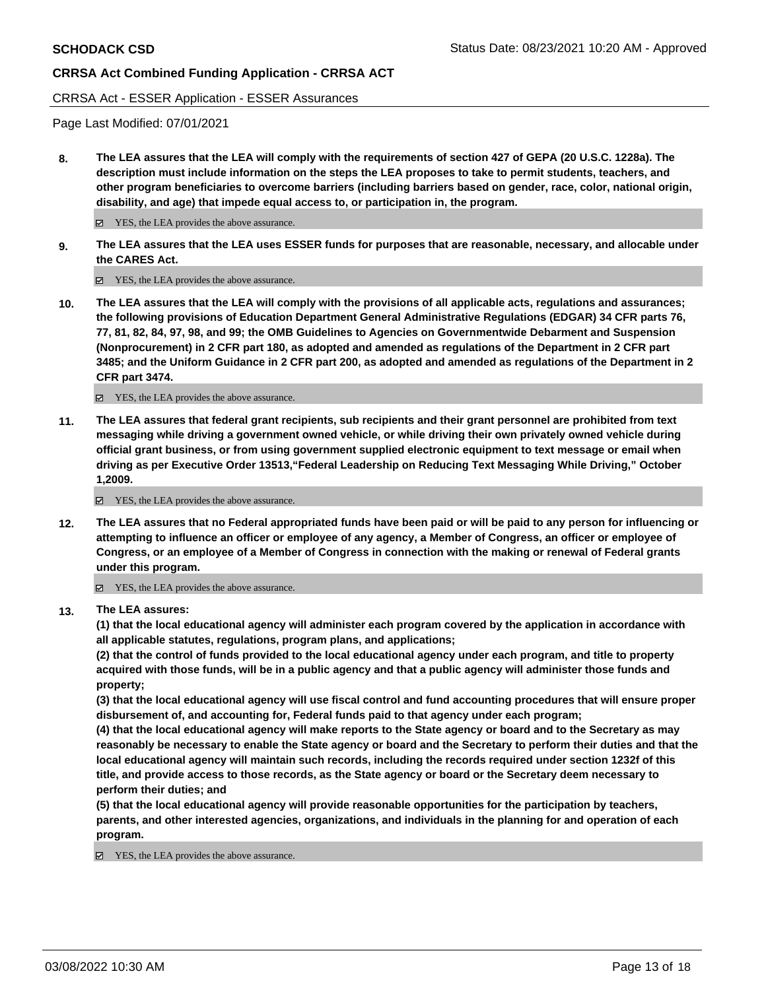## CRRSA Act - ESSER Application - ESSER Assurances

Page Last Modified: 07/01/2021

**8. The LEA assures that the LEA will comply with the requirements of section 427 of GEPA (20 U.S.C. 1228a). The description must include information on the steps the LEA proposes to take to permit students, teachers, and other program beneficiaries to overcome barriers (including barriers based on gender, race, color, national origin, disability, and age) that impede equal access to, or participation in, the program.** 

■ YES, the LEA provides the above assurance.

**9. The LEA assures that the LEA uses ESSER funds for purposes that are reasonable, necessary, and allocable under the CARES Act.** 

■ YES, the LEA provides the above assurance.

**10. The LEA assures that the LEA will comply with the provisions of all applicable acts, regulations and assurances; the following provisions of Education Department General Administrative Regulations (EDGAR) 34 CFR parts 76, 77, 81, 82, 84, 97, 98, and 99; the OMB Guidelines to Agencies on Governmentwide Debarment and Suspension (Nonprocurement) in 2 CFR part 180, as adopted and amended as regulations of the Department in 2 CFR part 3485; and the Uniform Guidance in 2 CFR part 200, as adopted and amended as regulations of the Department in 2 CFR part 3474.** 

YES, the LEA provides the above assurance.

**11. The LEA assures that federal grant recipients, sub recipients and their grant personnel are prohibited from text messaging while driving a government owned vehicle, or while driving their own privately owned vehicle during official grant business, or from using government supplied electronic equipment to text message or email when driving as per Executive Order 13513,"Federal Leadership on Reducing Text Messaging While Driving," October 1,2009.** 

YES, the LEA provides the above assurance.

**12. The LEA assures that no Federal appropriated funds have been paid or will be paid to any person for influencing or attempting to influence an officer or employee of any agency, a Member of Congress, an officer or employee of Congress, or an employee of a Member of Congress in connection with the making or renewal of Federal grants under this program.** 

YES, the LEA provides the above assurance.

**13. The LEA assures:** 

**(1) that the local educational agency will administer each program covered by the application in accordance with all applicable statutes, regulations, program plans, and applications;** 

**(2) that the control of funds provided to the local educational agency under each program, and title to property acquired with those funds, will be in a public agency and that a public agency will administer those funds and property;** 

**(3) that the local educational agency will use fiscal control and fund accounting procedures that will ensure proper disbursement of, and accounting for, Federal funds paid to that agency under each program;** 

**(4) that the local educational agency will make reports to the State agency or board and to the Secretary as may reasonably be necessary to enable the State agency or board and the Secretary to perform their duties and that the local educational agency will maintain such records, including the records required under section 1232f of this title, and provide access to those records, as the State agency or board or the Secretary deem necessary to perform their duties; and** 

**(5) that the local educational agency will provide reasonable opportunities for the participation by teachers, parents, and other interested agencies, organizations, and individuals in the planning for and operation of each program.** 

YES, the LEA provides the above assurance.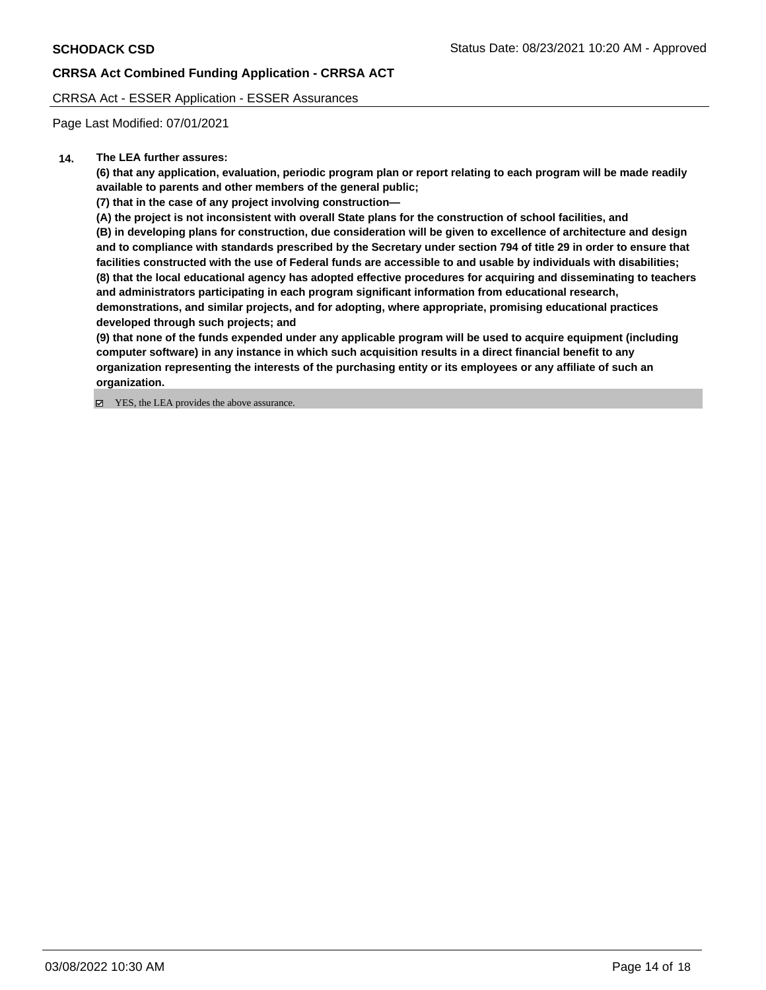CRRSA Act - ESSER Application - ESSER Assurances

Page Last Modified: 07/01/2021

## **14. The LEA further assures:**

**(6) that any application, evaluation, periodic program plan or report relating to each program will be made readily available to parents and other members of the general public;** 

**(7) that in the case of any project involving construction—** 

**(A) the project is not inconsistent with overall State plans for the construction of school facilities, and** 

**(B) in developing plans for construction, due consideration will be given to excellence of architecture and design and to compliance with standards prescribed by the Secretary under section 794 of title 29 in order to ensure that facilities constructed with the use of Federal funds are accessible to and usable by individuals with disabilities; (8) that the local educational agency has adopted effective procedures for acquiring and disseminating to teachers and administrators participating in each program significant information from educational research, demonstrations, and similar projects, and for adopting, where appropriate, promising educational practices developed through such projects; and** 

**(9) that none of the funds expended under any applicable program will be used to acquire equipment (including computer software) in any instance in which such acquisition results in a direct financial benefit to any organization representing the interests of the purchasing entity or its employees or any affiliate of such an organization.** 

■ YES, the LEA provides the above assurance.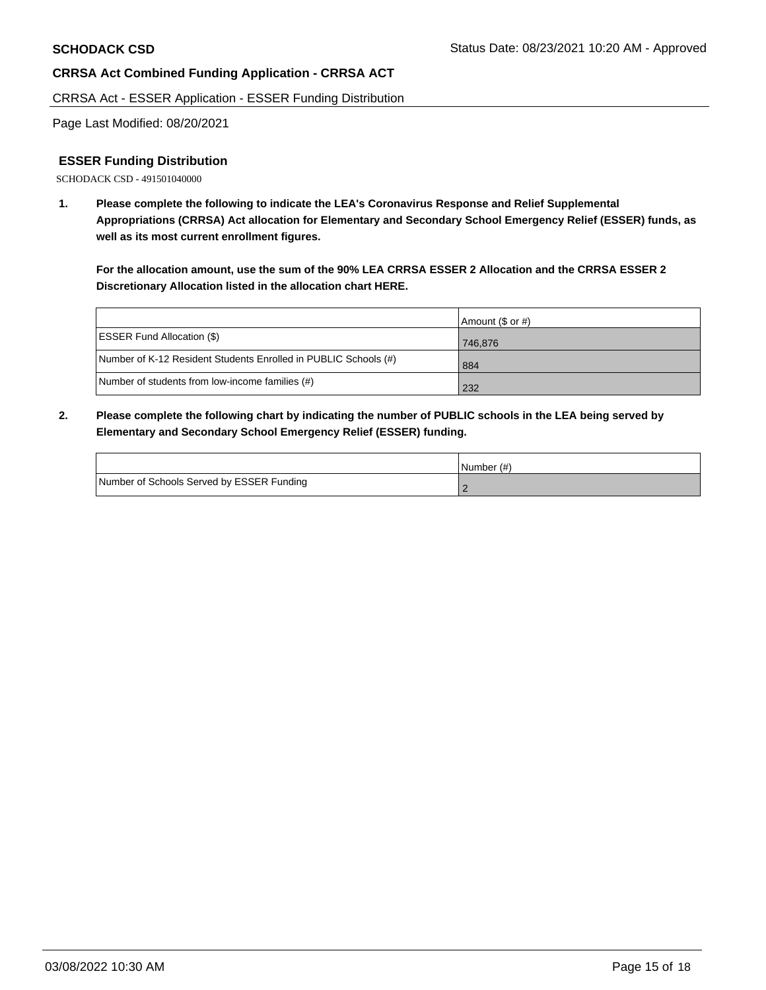CRRSA Act - ESSER Application - ESSER Funding Distribution

Page Last Modified: 08/20/2021

## **ESSER Funding Distribution**

SCHODACK CSD - 491501040000

**1. Please complete the following to indicate the LEA's Coronavirus Response and Relief Supplemental Appropriations (CRRSA) Act allocation for Elementary and Secondary School Emergency Relief (ESSER) funds, as well as its most current enrollment figures.** 

**For the allocation amount, use the sum of the 90% LEA CRRSA ESSER 2 Allocation and the CRRSA ESSER 2 Discretionary Allocation listed in the allocation chart HERE.** 

|                                                                 | Amount (\$ or #) |
|-----------------------------------------------------------------|------------------|
| <b>ESSER Fund Allocation (\$)</b>                               | 746.876          |
| Number of K-12 Resident Students Enrolled in PUBLIC Schools (#) | 884              |
| Number of students from low-income families (#)                 | 232              |

**2. Please complete the following chart by indicating the number of PUBLIC schools in the LEA being served by Elementary and Secondary School Emergency Relief (ESSER) funding.** 

|                                           | Number (#) |
|-------------------------------------------|------------|
| Number of Schools Served by ESSER Funding |            |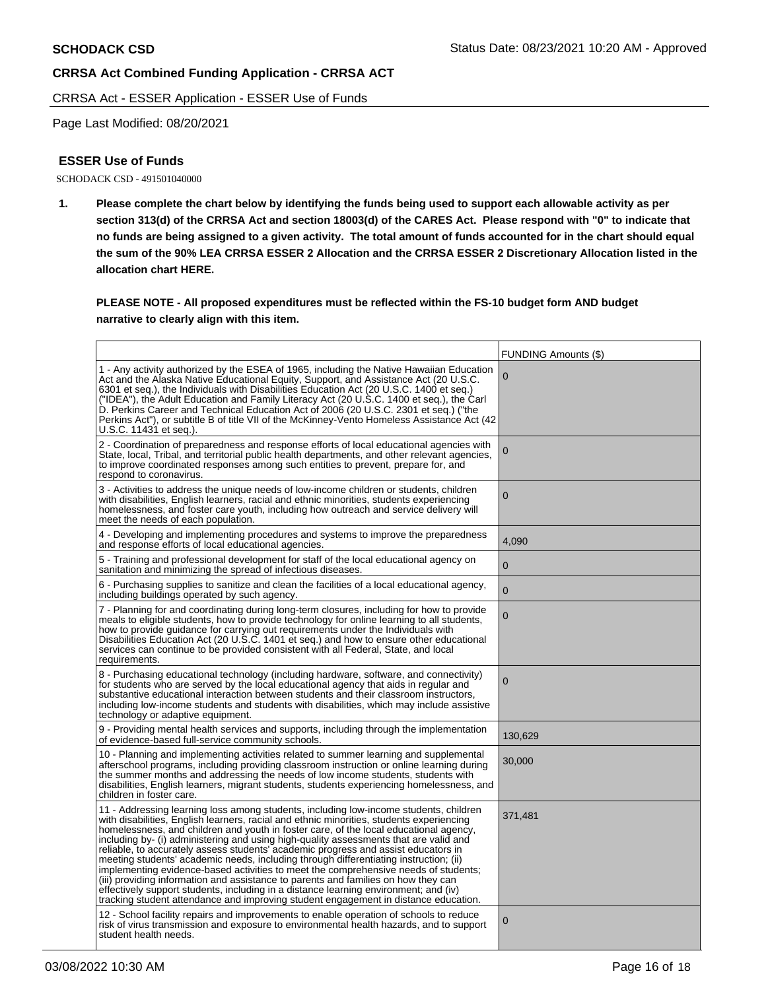CRRSA Act - ESSER Application - ESSER Use of Funds

Page Last Modified: 08/20/2021

## **ESSER Use of Funds**

SCHODACK CSD - 491501040000

**1. Please complete the chart below by identifying the funds being used to support each allowable activity as per section 313(d) of the CRRSA Act and section 18003(d) of the CARES Act. Please respond with "0" to indicate that no funds are being assigned to a given activity. The total amount of funds accounted for in the chart should equal the sum of the 90% LEA CRRSA ESSER 2 Allocation and the CRRSA ESSER 2 Discretionary Allocation listed in the allocation chart HERE.** 

**PLEASE NOTE - All proposed expenditures must be reflected within the FS-10 budget form AND budget narrative to clearly align with this item.** 

|                                                                                                                                                                                                                                                                                                                                                                                                                                                                                                                                                                                                                                                                                                                                                                                                                                                                                                                | <b>FUNDING Amounts (\$)</b> |
|----------------------------------------------------------------------------------------------------------------------------------------------------------------------------------------------------------------------------------------------------------------------------------------------------------------------------------------------------------------------------------------------------------------------------------------------------------------------------------------------------------------------------------------------------------------------------------------------------------------------------------------------------------------------------------------------------------------------------------------------------------------------------------------------------------------------------------------------------------------------------------------------------------------|-----------------------------|
| 1 - Any activity authorized by the ESEA of 1965, including the Native Hawaiian Education<br>Act and the Alaska Native Educational Equity, Support, and Assistance Act (20 U.S.C.<br>6301 et seq.), the Individuals with Disabilities Education Act (20 U.S.C. 1400 et seq.)<br>("IDEA"), the Adult Education and Family Literacy Act (20 U.S.C. 1400 et seq.), the Carl<br>D. Perkins Career and Technical Education Act of 2006 (20 U.S.C. 2301 et seq.) ("the<br>Perkins Act"), or subtitle B of title VII of the McKinney-Vento Homeless Assistance Act (42<br>U.S.C. 11431 et seq.).                                                                                                                                                                                                                                                                                                                       | $\mathbf 0$                 |
| 2 - Coordination of preparedness and response efforts of local educational agencies with<br>State, local, Tribal, and territorial public health departments, and other relevant agencies,<br>to improve coordinated responses among such entities to prevent, prepare for, and<br>respond to coronavirus.                                                                                                                                                                                                                                                                                                                                                                                                                                                                                                                                                                                                      | $\mathbf 0$                 |
| 3 - Activities to address the unique needs of low-income children or students, children<br>with disabilities, English learners, racial and ethnic minorities, students experiencing<br>homelessness, and foster care youth, including how outreach and service delivery will<br>meet the needs of each population.                                                                                                                                                                                                                                                                                                                                                                                                                                                                                                                                                                                             | $\mathbf 0$                 |
| 4 - Developing and implementing procedures and systems to improve the preparedness<br>and response efforts of local educational agencies.                                                                                                                                                                                                                                                                                                                                                                                                                                                                                                                                                                                                                                                                                                                                                                      | 4.090                       |
| 5 - Training and professional development for staff of the local educational agency on<br>sanitation and minimizing the spread of infectious diseases.                                                                                                                                                                                                                                                                                                                                                                                                                                                                                                                                                                                                                                                                                                                                                         | $\mathbf 0$                 |
| 6 - Purchasing supplies to sanitize and clean the facilities of a local educational agency,<br>including buildings operated by such agency.                                                                                                                                                                                                                                                                                                                                                                                                                                                                                                                                                                                                                                                                                                                                                                    | $\overline{0}$              |
| 7 - Planning for and coordinating during long-term closures, including for how to provide<br>meals to eligible students, how to provide technology for online learning to all students,<br>how to provide guidance for carrying out requirements under the Individuals with<br>Disabilities Education Act (20 U.S.C. 1401 et seq.) and how to ensure other educational<br>services can continue to be provided consistent with all Federal, State, and local<br>requirements.                                                                                                                                                                                                                                                                                                                                                                                                                                  | $\mathbf 0$                 |
| 8 - Purchasing educational technology (including hardware, software, and connectivity)<br>for students who are served by the local educational agency that aids in regular and<br>substantive educational interaction between students and their classroom instructors,<br>including low-income students and students with disabilities, which may include assistive<br>technology or adaptive equipment.                                                                                                                                                                                                                                                                                                                                                                                                                                                                                                      | $\Omega$                    |
| 9 - Providing mental health services and supports, including through the implementation<br>of evidence-based full-service community schools.                                                                                                                                                                                                                                                                                                                                                                                                                                                                                                                                                                                                                                                                                                                                                                   | 130,629                     |
| 10 - Planning and implementing activities related to summer learning and supplemental<br>afterschool programs, including providing classroom instruction or online learning during<br>the summer months and addressing the needs of low income students, students with<br>disabilities, English learners, migrant students, students experiencing homelessness, and<br>children in foster care.                                                                                                                                                                                                                                                                                                                                                                                                                                                                                                                | 30,000                      |
| 11 - Addressing learning loss among students, including low-income students, children<br>with disabilities, English learners, racial and ethnic minorities, students experiencing<br>homelessness, and children and youth in foster care, of the local educational agency,<br>including by- (i) administering and using high-quality assessments that are valid and<br>reliable, to accurately assess students' academic progress and assist educators in<br>meeting students' academic needs, including through differentiating instruction; (ii)<br>implementing evidence-based activities to meet the comprehensive needs of students;<br>(iii) providing information and assistance to parents and families on how they can<br>effectively support students, including in a distance learning environment; and (iv)<br>tracking student attendance and improving student engagement in distance education. | 371,481                     |
| 12 - School facility repairs and improvements to enable operation of schools to reduce<br>risk of virus transmission and exposure to environmental health hazards, and to support<br>student health needs.                                                                                                                                                                                                                                                                                                                                                                                                                                                                                                                                                                                                                                                                                                     | $\mathbf 0$                 |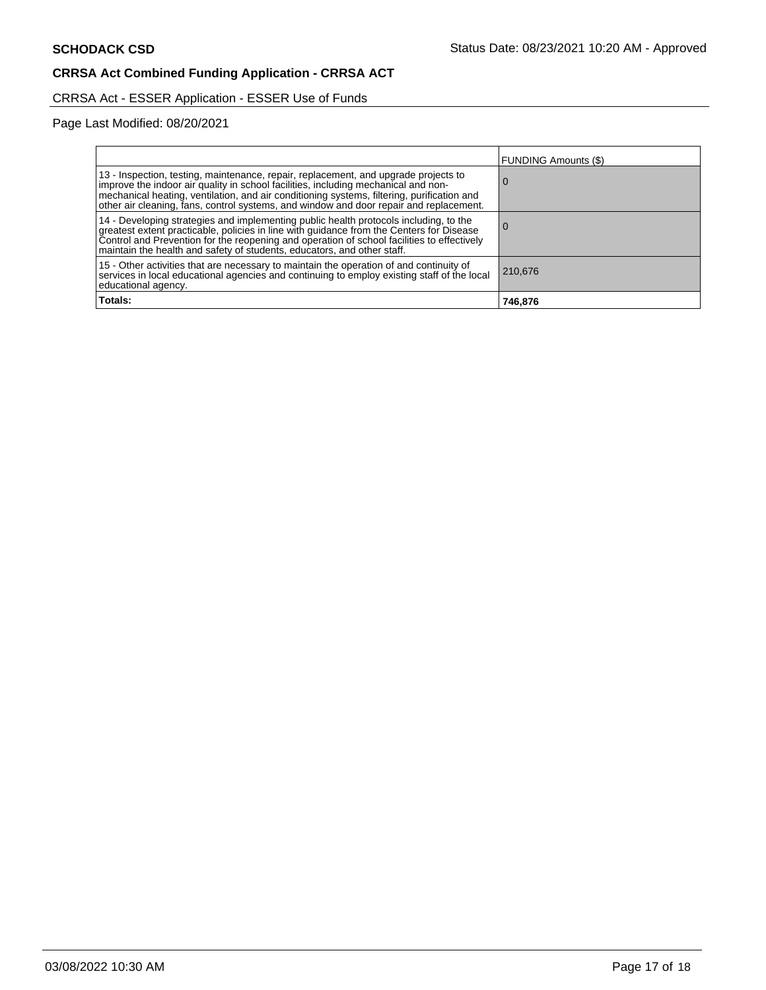# CRRSA Act - ESSER Application - ESSER Use of Funds

Page Last Modified: 08/20/2021

|                                                                                                                                                                                                                                                                                                                                                                   | FUNDING Amounts (\$) |
|-------------------------------------------------------------------------------------------------------------------------------------------------------------------------------------------------------------------------------------------------------------------------------------------------------------------------------------------------------------------|----------------------|
| 13 - Inspection, testing, maintenance, repair, replacement, and upgrade projects to<br>improve the indoor air quality in school facilities, including mechanical and non-<br>mechanical heating, ventilation, and air conditioning systems, filtering, purification and<br>other air cleaning, fans, control systems, and window and door repair and replacement. |                      |
| 14 - Developing strategies and implementing public health protocols including, to the<br>greatest extent practicable, policies in line with guidance from the Centers for Disease<br>Control and Prevention for the reopening and operation of school facilities to effectively<br>maintain the health and safety of students, educators, and other staff.        |                      |
| 15 - Other activities that are necessary to maintain the operation of and continuity of<br>services in local educational agencies and continuing to employ existing staff of the local<br>educational agency.                                                                                                                                                     | 210,676              |
| Totals:                                                                                                                                                                                                                                                                                                                                                           | 746,876              |